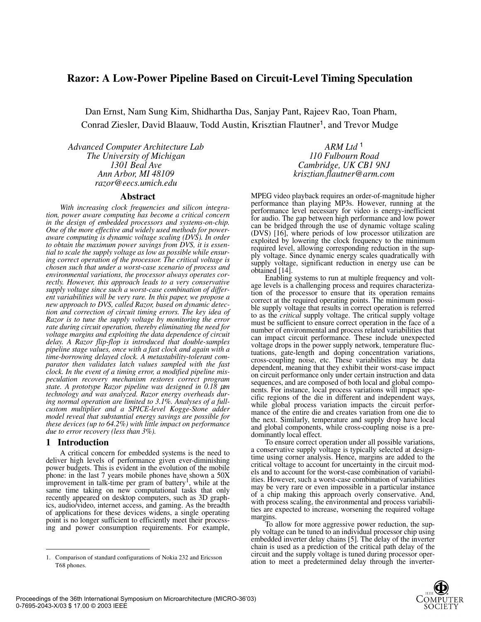# **Razor: A Low-Power Pipeline Based on Circuit-Level Timing Speculation**

 Dan Ernst, Nam Sung Kim, Shidhartha Das, Sanjay Pant, Rajeev Rao, Toan Pham, Conrad Ziesler, David Blaauw, Todd Austin, Krisztian Flautner<sup>1</sup>, and Trevor Mudge

*Advanced Computer Architecture Lab The University of Michigan 1301 Beal Ave Ann Arbor, MI 48109 razor@eecs.umich.edu*

## **Abstract**

*With increasing clock frequencies and silicon integration, power aware computing has become a critical concern in the design of embedded processors and systems-on-chip. One of the more effective and widely used methods for poweraware computing is dynamic voltage scaling (DVS). In order to obtain the maximum power savings from DVS, it is essential to scale the supply voltage as low as possible while ensuring correct operation of the processor. The critical voltage is chosen such that under a worst-case scenario of process and environmental variations, the processor always operates correctly. However, this approach leads to a very conservative supply voltage since such a worst-case combination of different variabilities will be very rare. In this paper, we propose a new approach to DVS, called Razor, based on dynamic detection and correction of circuit timing errors. The key idea of Razor is to tune the supply voltage by monitoring the error rate during circuit operation, thereby eliminating the need for voltage margins and exploiting the data dependence of circuit delay. A Razor flip-flop is introduced that double-samples pipeline stage values, once with a fast clock and again with a time-borrowing delayed clock. A metastability-tolerant comparator then validates latch values sampled with the fast clock. In the event of a timing error, a modified pipeline mispeculation recovery mechanism restores correct program state. A prototype Razor pipeline was designed in 0.18* µ*<sup>m</sup> technology and was analyzed. Razor energy overheads during normal operation are limited to 3.1%. Analyses of a fullcustom multiplier and a SPICE-level Kogge-Stone adder model reveal that substantial energy savings are possible for these devices (up to 64.2%) with little impact on performance due to error recovery (less than 3%).*

# **1 Introduction**

A critical concern for embedded systems is the need to deliver high levels of performance given ever-diminishing power budgets. This is evident in the evolution of the mobile phone: in the last 7 years mobile phones have shown a 50X improvement in talk-time per gram of battery<sup>1</sup>, while at the same time taking on new computational tasks that only recently appeared on desktop computers, such as 3D graphics, audio/video, internet access, and gaming. As the breadth of applications for these devices widens, a single operating point is no longer sufficient to efficiently meet their processing and power consumption requirements. For example,

*ARM Ltd* <sup>1</sup> *110 Fulbourn Road Cambridge, UK CB1 9NJ krisztian.flautner@arm.com*

MPEG video playback requires an order-of-magnitude higher performance than playing MP3s. However, running at the performance level necessary for video is energy-inefficient for audio. The gap between high performance and low power can be bridged through the use of dynamic voltage scaling (DVS) [16], where periods of low processor utilization are exploited by lowering the clock frequency to the minimum required level, allowing corresponding reduction in the supply voltage. Since dynamic energy scales quadratically with supply voltage, significant reduction in energy use can be obtained [14].

Enabling systems to run at multiple frequency and voltage levels is a challenging process and requires characterization of the processor to ensure that its operation remains correct at the required operating points. The minimum possible supply voltage that results in correct operation is referred to as the *critical* supply voltage. The critical supply voltage must be sufficient to ensure correct operation in the face of a number of environmental and process related variabilities that can impact circuit performance. These include unexpected voltage drops in the power supply network, temperature fluctuations, gate-length and doping concentration variations, cross-coupling noise, etc. These variabilities may be data dependent, meaning that they exhibit their worst-case impact on circuit performance only under certain instruction and data sequences, and are composed of both local and global components. For instance, local process variations will impact specific regions of the die in different and independent ways, while global process variation impacts the circuit performance of the entire die and creates variation from one die to the next. Similarly, temperature and supply drop have local and global components, while cross-coupling noise is a predominantly local effect.

To ensure correct operation under all possible variations, a conservative supply voltage is typically selected at designtime using corner analysis. Hence, margins are added to the critical voltage to account for uncertainty in the circuit models and to account for the worst-case combination of variabilities. However, such a worst-case combination of variabilities may be very rare or even impossible in a particular instance of a chip making this approach overly conservative. And, with process scaling, the environmental and process variabilities are expected to increase, worsening the required voltage margins.

To allow for more aggressive power reduction, the supply voltage can be tuned to an individual processor chip using embedded inverter delay chains [5]. The delay of the inverter chain is used as a prediction of the critical path delay of the circuit and the supply voltage is tuned during processor oper-1. Comparison of standard configurations of Nokia 232 and Ericsson<br>The inverter-<br>The inverter-<br>The inverter-

T68 phones.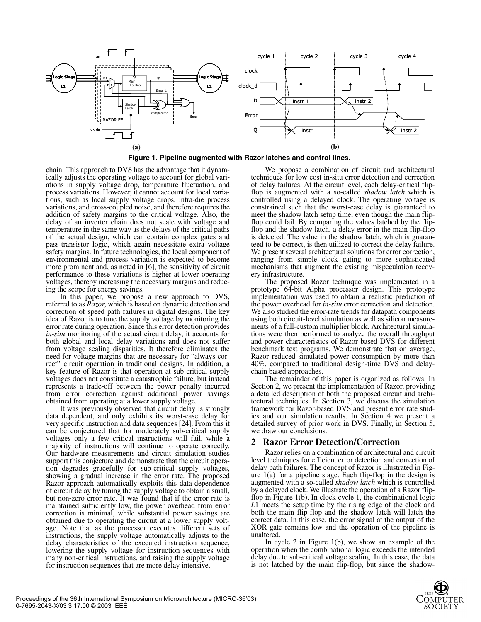

**Figure 1. Pipeline augmented with Razor latches and control lines.**

chain. This approach to DVS has the advantage that it dynamically adjusts the operating voltage to account for global variations in supply voltage drop, temperature fluctuation, and process variations. However, it cannot account for local variations, such as local supply voltage drops, intra-die process variations, and cross-coupled noise, and therefore requires the addition of safety margins to the critical voltage. Also, the delay of an inverter chain does not scale with voltage and temperature in the same way as the delays of the critical paths of the actual design, which can contain complex gates and pass-transistor logic, which again necessitate extra voltage safety margins. In future technologies, the local component of environmental and process variation is expected to become more prominent and, as noted in [6], the sensitivity of circuit performance to these variations is higher at lower operating voltages, thereby increasing the necessary margins and reducing the scope for energy savings.

In this paper, we propose a new approach to DVS, referred to as *Razor*, which is based on dynamic detection and correction of speed path failures in digital designs. The key idea of Razor is to tune the supply voltage by monitoring the error rate during operation. Since this error detection provides *in-situ* monitoring of the actual circuit delay, it accounts for both global and local delay variations and does not suffer from voltage scaling disparities. It therefore eliminates the need for voltage margins that are necessary for "always-correct" circuit operation in traditional designs. In addition, a key feature of Razor is that operation at sub-critical supply voltages does not constitute a catastrophic failure, but instead represents a trade-off between the power penalty incurred from error correction against additional power savings obtained from operating at a lower supply voltage.

It was previously observed that circuit delay is strongly data dependent, and only exhibits its worst-case delay for very specific instruction and data sequences [24]. From this it can be conjectured that for moderately sub-critical supply voltages only a few critical instructions will fail, while a majority of instructions will continue to operate correctly. Our hardware measurements and circuit simulation studies support this conjecture and demonstrate that the circuit operation degrades gracefully for sub-critical supply voltages, showing a gradual increase in the error rate. The proposed Razor approach automatically exploits this data-dependence of circuit delay by tuning the supply voltage to obtain a small, but non-zero error rate. It was found that if the error rate is maintained sufficiently low, the power overhead from error correction is minimal, while substantial power savings are obtained due to operating the circuit at a lower supply voltage. Note that as the processor executes different sets of instructions, the supply voltage automatically adjusts to the delay characteristics of the executed instruction sequence, lowering the supply voltage for instruction sequences with many non-critical instructions, and raising the supply voltage for instruction sequences that are more delay intensive.

We propose a combination of circuit and architectural techniques for low cost in-situ error detection and correction of delay failures. At the circuit level, each delay-critical flipflop is augmented with a so-called *shadow latch* which is controlled using a delayed clock. The operating voltage is constrained such that the worst-case delay is guaranteed to meet the shadow latch setup time, even though the main flipflop could fail. By comparing the values latched by the flipflop and the shadow latch, a delay error in the main flip-flop is detected. The value in the shadow latch, which is guaranteed to be correct, is then utilized to correct the delay failure. We present several architectural solutions for error correction, ranging from simple clock gating to more sophisticated mechanisms that augment the existing mispeculation recovery infrastructure.

The proposed Razor technique was implemented in a prototype 64-bit Alpha processor design. This prototype implementation was used to obtain a realistic prediction of the power overhead for *in-situ* error correction and detection. We also studied the error-rate trends for datapath components using both circuit-level simulation as well as silicon measurements of a full-custom multiplier block. Architectural simulations were then performed to analyze the overall throughput and power characteristics of Razor based DVS for different benchmark test programs. We demonstrate that on average, Razor reduced simulated power consumption by more than 40%, compared to traditional design-time DVS and delaychain based approaches.

The remainder of this paper is organized as follows. In Section 2, we present the implementation of Razor, providing a detailed description of both the proposed circuit and architectural techniques. In Section 3, we discuss the simulation framework for Razor-based DVS and present error rate studies and our simulation results. In Section 4 we present a detailed survey of prior work in DVS. Finally, in Section 5, we draw our conclusions.

# **2 Razor Error Detection/Correction**

Razor relies on a combination of architectural and circuit level techniques for efficient error detection and correction of delay path failures. The concept of Razor is illustrated in Figure  $1(a)$  for a pipeline stage. Each flip-flop in the design is augmented with a so-called *shadow latch* which is controlled by a delayed clock. We illustrate the operation of a Razor flipflop in Figure 1(b). In clock cycle 1, the combinational logic *L*1 meets the setup time by the rising edge of the clock and both the main flip-flop and the shadow latch will latch the correct data. In this case, the error signal at the output of the XOR gate remains low and the operation of the pipeline is unaltered.

In cycle 2 in Figure 1(b), we show an example of the operation when the combinational logic exceeds the intended delay due to sub-critical voltage scaling. In this case, the data is not latched by the main flip-flop, but since the shadow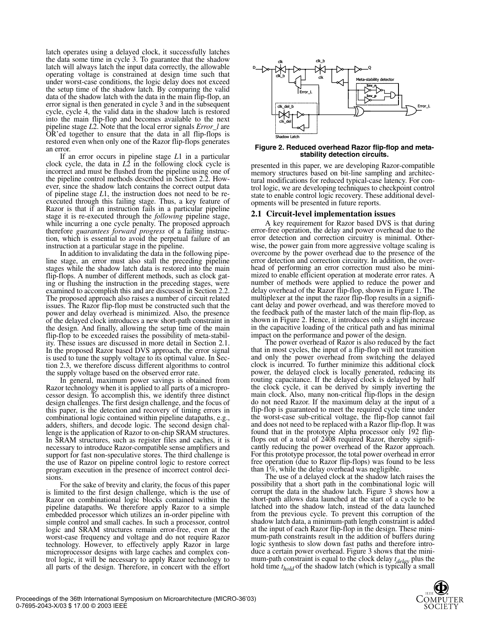latch operates using a delayed clock, it successfully latches the data some time in cycle 3. To guarantee that the shadow latch will always latch the input data correctly, the allowable operating voltage is constrained at design time such that under worst-case conditions, the logic delay does not exceed the setup time of the shadow latch. By comparing the valid data of the shadow latch with the data in the main flip-flop, an error signal is then generated in cycle 3 and in the subsequent cycle, cycle 4, the valid data in the shadow latch is restored into the main flip-flop and becomes available to the next pipeline stage *L*2. Note that the local error signals *Error\_l* are OR'ed together to ensure that the data in all flip-flops is restored even when only one of the Razor flip-flops generates an error.

If an error occurs in pipeline stage *L*1 in a particular clock cycle, the data in *L*2 in the following clock cycle is incorrect and must be flushed from the pipeline using one of the pipeline control methods described in Section 2.2. However, since the shadow latch contains the correct output data of pipeline stage *L*1, the instruction does not need to be reexecuted through this failing stage. Thus, a key feature of Razor is that if an instruction fails in a particular pipeline stage it is re-executed through the *following* pipeline stage, while incurring a one cycle penalty. The proposed approach therefore *guarantees forward progress* of a failing instruction, which is essential to avoid the perpetual failure of an instruction at a particular stage in the pipeline.

In addition to invalidating the data in the following pipeline stage, an error must also stall the preceding pipeline stages while the shadow latch data is restored into the main flip-flops. A number of different methods, such as clock gating or flushing the instruction in the preceding stages, were examined to accomplish this and are discussed in Section 2.2. The proposed approach also raises a number of circuit related issues. The Razor flip-flop must be constructed such that the power and delay overhead is minimized. Also, the presence of the delayed clock introduces a new short-path constraint in the design. And finally, allowing the setup time of the main flip-flop to be exceeded raises the possibility of meta-stability. These issues are discussed in more detail in Section 2.1. In the proposed Razor based DVS approach, the error signal is used to tune the supply voltage to its optimal value. In Section 2.3, we therefore discuss different algorithms to control the supply voltage based on the observed error rate.

In general, maximum power savings is obtained from Razor technology when it is applied to all parts of a microprocessor design. To accomplish this, we identify three distinct design challenges. The first design challenge, and the focus of this paper, is the detection and recovery of timing errors in combinational logic contained within pipeline datapaths, e.g., adders, shifters, and decode logic. The second design challenge is the application of Razor to on-chip SRAM structures. In SRAM structures, such as register files and caches, it is necessary to introduce Razor-compatible sense amplifiers and support for fast non-speculative stores. The third challenge is the use of Razor on pipeline control logic to restore correct program execution in the presence of incorrect control decisions.

For the sake of brevity and clarity, the focus of this paper is limited to the first design challenge, which is the use of Razor on combinational logic blocks contained within the pipeline datapaths. We therefore apply Razor to a simple embedded processor which utilizes an in-order pipeline with simple control and small caches. In such a processor, control logic and SRAM structures remain error-free, even at the worst-case frequency and voltage and do not require Razor technology. However, to effectively apply Razor in large microprocessor designs with large caches and complex control logic, it will be necessary to apply Razor technology to all parts of the design. Therefore, in concert with the effort



#### **Figure 2. Reduced overhead Razor flip-flop and metastability detection circuits.**

presented in this paper, we are developing Razor-compatible memory structures based on bit-line sampling and architectural modifications for reduced typical-case latency. For control logic, we are developing techniques to checkpoint control state to enable control logic recovery. These additional developments will be presented in future reports.

### **2.1 Circuit-level implementation issues**

A key requirement for Razor based DVS is that during error-free operation, the delay and power overhead due to the error detection and correction circuitry is minimal. Otherwise, the power gain from more aggressive voltage scaling is overcome by the power overhead due to the presence of the error detection and correction circuitry. In addition, the overhead of performing an error correction must also be minimized to enable efficient operation at moderate error rates. A number of methods were applied to reduce the power and delay overhead of the Razor flip-flop, shown in Figure 1. The multiplexer at the input the razor flip-flop results in a significant delay and power overhead, and was therefore moved to the feedback path of the master latch of the main flip-flop, as shown in Figure 2. Hence, it introduces only a slight increase in the capacitive loading of the critical path and has minimal impact on the performance and power of the design.

The power overhead of Razor is also reduced by the fact that in most cycles, the input of a flip-flop will not transition and only the power overhead from switching the delayed clock is incurred. To further minimize this additional clock power, the delayed clock is locally generated, reducing its routing capacitance. If the delayed clock is delayed by half the clock cycle, it can be derived by simply inverting the main clock. Also, many non-critical flip-flops in the design do not need Razor. If the maximum delay at the input of a flip-flop is guaranteed to meet the required cycle time under the worst-case sub-critical voltage, the flip-flop cannot fail and does not need to be replaced with a Razor flip-flop. It was found that in the prototype Alpha processor only 192 flipflops out of a total of 2408 required Razor, thereby significantly reducing the power overhead of the Razor approach. For this prototype processor, the total power overhead in error free operation (due to Razor flip-flops) was found to be less than  $1\%$ , while the delay overhead was negligible.

The use of a delayed clock at the shadow latch raises the possibility that a short path in the combinational logic will corrupt the data in the shadow latch. Figure 3 shows how a short-path allows data launched at the start of a cycle to be latched into the shadow latch, instead of the data launched from the previous cycle. To prevent this corruption of the shadow latch data, a minimum-path length constraint is added at the input of each Razor flip-flop in the design. These minimum-path constraints result in the addition of buffers during logic synthesis to slow down fast paths and therefore introduce a certain power overhead. Figure 3 shows that the minimum-path constraint is equal to the clock delay  $t_{delay}$  plus the hold time *thold* of the shadow latch (which is typically a small

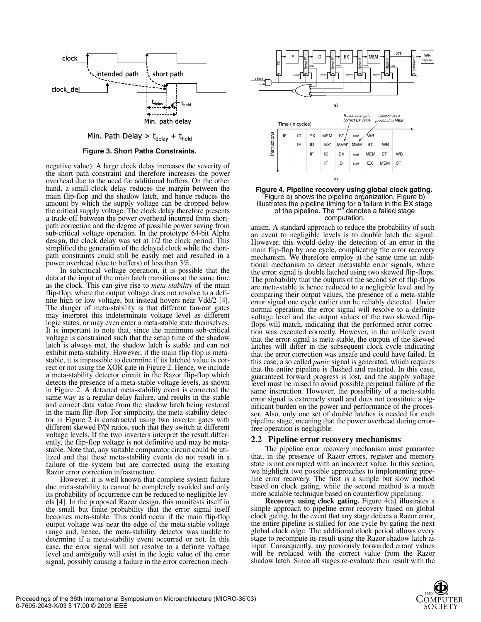

# Min. Path Delay >  $t_{delay} + t_{hold}$

### **Figure 3. Short Paths Constraints.**

negative value). A large clock delay increases the severity of the short path constraint and therefore increases the power overhead due to the need for additional buffers. On the other hand, a small clock delay reduces the margin between the main flip-flop and the shadow latch, and hence reduces the amount by which the supply voltage can be dropped below the critical supply voltage. The clock delay therefore presents a trade-off between the power overhead incurred from shortpath correction and the degree of possible power saving from sub-critical voltage operation. In the prototype 64-bit Alpha design, the clock delay was set at  $1/2$  the clock period. This simplified the generation of the delayed clock while the shortpath constraints could still be easily met and resulted in a power overhead (due to buffers) of less than 3%.

In subcritical voltage operation, it is possible that the data at the input of the main latch transitions at the same time as the clock. This can give rise to *meta-stability* of the main flip-flop, where the output voltage does not resolve to a definite high or low voltage, but instead hovers near Vdd/2 [4]. The danger of meta-stability is that different fan-out gates may interpret this indeterminate voltage level as different logic states, or may even enter a meta-stable state themselves. It is important to note that, since the minimum sub-critical voltage is constrained such that the setup time of the shadow latch is always met, the shadow latch is stable and can not exhibit meta-stability. However, if the main flip-flop is metastable, it is impossible to determine if its latched value is correct or not using the XOR gate in Figure 2. Hence, we include a meta-stability detector circuit in the Razor flip-flop which detects the presence of a meta-stable voltage levels, as shown in Figure 2. A detected meta-stability event is corrected the same way as a regular delay failure, and results in the stable and correct data value from the shadow latch being restored in the main flip-flop. For simplicity, the meta-stability detector in Figure 2 is constructed using two inverter gates with different skewed P/N ratios, such that they switch at different voltage levels. If the two inverters interpret the result differently, the flip-flop voltage is not definitive and may be metastable. Note that, any suitable comparator circuit could be utilized and that these meta-stability events do not result in a failure of the system but are corrected using the existing Razor error correction infrastructure.

However, it is well known that complete system failure due meta-stability to cannot be completely avoided and only its probability of occurrence can be reduced to negligible levels [4]. In the proposed Razor design, this manifests itself in the small but finite probability that the error signal itself becomes meta-stable. This could occur if the main flip-flop output voltage was near the edge of the meta-stable voltage range and, hence, the meta-stability detector was unable to determine if a meta-stability event occurred or not. In this case, the error signal will not resolve to a definite voltage level and ambiguity will exist in the logic value of the error signal, possibly causing a failure in the error correction mech-





anism. A standard approach to reduce the probability of such an event to negligible levels is to double latch the signal. However, this would delay the detection of an error in the main flip-flop by one cycle, complicating the error recovery mechanism. We therefore employ at the same time an additional mechanism to detect metastable error signals, where the error signal is double latched using two skewed flip-flops. The probability that the outputs of the second set of flip-flops are meta-stable is hence reduced to a negligible level and by comparing their output values, the presence of a meta-stable error signal one cycle earlier can be reliably detected. Under normal operation, the error signal will resolve to a definite voltage level and the output values of the two skewed flipflops will match, indicating that the performed error correction was executed correctly. However, in the unlikely event that the error signal is meta-stable, the outputs of the skewed latches will differ in the subsequent clock cycle indicating that the error correction was unsafe and could have failed. In this case, a so called *panic* signal is generated, which requires that the entire pipeline is flushed and restarted. In this case, guaranteed forward progress is lost, and the supply voltage level must be raised to avoid possible perpetual failure of the same instruction. However, the possibility of a meta-stable error signal is extremely small and does not constitute a significant burden on the power and performance of the processor. Also, only one set of double latches is needed for each pipeline stage, meaning that the power overhead during errorfree operation is negligible.

#### **2.2 Pipeline error recovery mechanisms**

The pipeline error recovery mechanism must guarantee that, in the presence of Razor errors, register and memory state is not corrupted with an incorrect value. In this section, we highlight two possible approaches to implementing pipeline error recovery. The first is a simple but slow method based on clock gating, while the second method is a much more scalable technique based on counterflow pipelining.

**Recovery using clock gating.** Figure 4(a) illustrates a simple approach to pipeline error recovery based on global clock gating. In the event that any stage detects a Razor error, the entire pipeline is stalled for one cycle by gating the next global clock edge. The additional clock period allows every stage to recompute its result using the Razor shadow latch as input. Consequently, any previously forwarded errant values will be replaced with the correct value from the Razor shadow latch. Since all stages re-evaluate their result with the

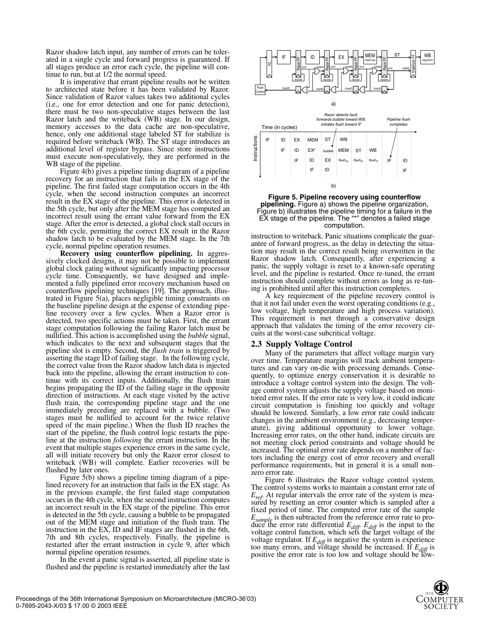Razor shadow latch input, any number of errors can be tolerated in a single cycle and forward progress is guaranteed. If all stages produce an error each cycle, the pipeline will continue to run, but at 1/2 the normal speed.

It is imperative that errant pipeline results not be written to architected state before it has been validated by Razor. Since validation of Razor values takes two additional cycles (i.e., one for error detection and one for panic detection), there must be two non-speculative stages between the last Razor latch and the writeback (WB) stage. In our design, memory accesses to the data cache are non-speculative, hence, only one additional stage labeled ST for stabilize is required before writeback (WB). The ST stage introduces an additional level of register bypass. Since store instructions must execute non-speculatively, they are performed in the WB stage of the pipeline.

Figure 4(b) gives a pipeline timing diagram of a pipeline recovery for an instruction that fails in the EX stage of the pipeline. The first failed stage computation occurs in the 4th cycle, when the second instruction computes an incorrect result in the EX stage of the pipeline. This error is detected in the 5th cycle, but only after the MEM stage has computed an incorrect result using the errant value forward from the EX stage. After the error is detected, a global clock stall occurs in the 6th cycle, permitting the correct EX result in the Razor shadow latch to be evaluated by the MEM stage. In the 7th cycle, normal pipeline operation resumes.

**Recovery using counterflow pipelining.** In aggressively clocked designs, it may not be possible to implement global clock gating without significantly impacting processor cycle time. Consequently, we have designed and implemented a fully pipelined error recovery mechanism based on counterflow pipelining techniques [19]. The approach, illustrated in Figure 5(a), places negligible timing constraints on the baseline pipeline design at the expense of extending pipeline recovery over a few cycles. When a Razor error is detected, two specific actions must be taken. First, the errant stage computation following the failing Razor latch must be nullified. This action is accomplished using the *bubble* signal, which indicates to the next and subsequent stages that the pipeline slot is empty. Second, the *flush train* is triggered by asserting the stage ID of failing stage. In the following cycle, the correct value from the Razor shadow latch data is injected back into the pipeline, allowing the errant instruction to continue with its correct inputs. Additionally, the flush train begins propagating the ID of the failing stage in the opposite direction of instructions. At each stage visited by the active flush train, the corresponding pipeline stage and the one immediately preceding are replaced with a bubble. (Two stages must be nullified to account for the twice relative speed of the main pipeline.) When the flush ID reaches the start of the pipeline, the flush control logic restarts the pipeline at the instruction *following* the errant instruction. In the event that multiple stages experience errors in the same cycle, all will initiate recovery but only the Razor error closest to writeback (WB) will complete. Earlier recoveries will be flushed by later ones.

Figure 5(b) shows a pipeline timing diagram of a pipelined recovery for an instruction that fails in the EX stage. As in the previous example, the first failed stage computation occurs in the 4th cycle, when the second instruction computes an incorrect result in the EX stage of the pipeline. This error is detected in the 5th cycle, causing a bubble to be propagated out of the MEM stage and initiation of the flush train. The instruction in the EX, ID and IF stages are flushed in the 6th, 7th and 8th cycles, respectively. Finally, the pipeline is restarted after the errant instruction in cycle 9, after which normal pipeline operation resumes.

In the event a panic signal is asserted, all pipeline state is flushed and the pipeline is restarted immediately after the last



**Figure 5. Pipeline recovery using counterflow pipelining.** Figure a) shows the pipeline organization, Figure b) illustrates the pipeline timing for a failure in the EX stage of the pipeline. The "\*" denotes a failed stage computation.

instruction to writeback. Panic situations complicate the guarantee of forward progress, as the delay in detecting the situation may result in the correct result being overwritten in the Razor shadow latch. Consequently, after experiencing a panic, the supply voltage is reset to a known-safe operating level, and the pipeline is restarted. Once re-tuned, the errant instruction should complete without errors as long as re-tuning is prohibited until after this instruction completes.

A key requirement of the pipeline recovery control is that it not fail under even the worst operating conditions (e.g., low voltage, high temperature and high process variation). This requirement is met through a conservative design approach that validates the timing of the error recovery circuits at the worst-case subcritical voltage.

## **2.3 Supply Voltage Control**

Many of the parameters that affect voltage margin vary over time. Temperature margins will track ambient temperatures and can vary on-die with processing demands. Consequently, to optimize energy conservation it is desirable to introduce a voltage control system into the design. The voltage control system adjusts the supply voltage based on monitored error rates. If the error rate is very low, it could indicate circuit computation is finishing too quickly and voltage should be lowered. Similarly, a low error rate could indicate changes in the ambient environment (e.g., decreasing temperature), giving additional opportunity to lower voltage. Increasing error rates, on the other hand, indicate circuits are not meeting clock period constraints and voltage should be increased. The optimal error rate depends on a number of factors including the energy cost of error recovery and overall performance requirements, but in general it is a small nonzero error rate.

Figure 6 illustrates the Razor voltage control system. The control systems works to maintain a constant error rate of  $E_{ref}$ . At regular intervals the error rate of the system is measured by resetting an error counter which is sampled after a fixed period of time. The computed error rate of the sample *Esample* is then subtracted from the reference error rate to produce the error rate differential  $E_{diff}$ .  $E_{diff}$  is the input to the voltage control function, which sets the target voltage of the voltage regulator. If  $E_{diff}$  is negative the system is experience too many errors, and voltage should be increased. If  $E_{diff}$  is positive the error rate is too low and voltage should be low-

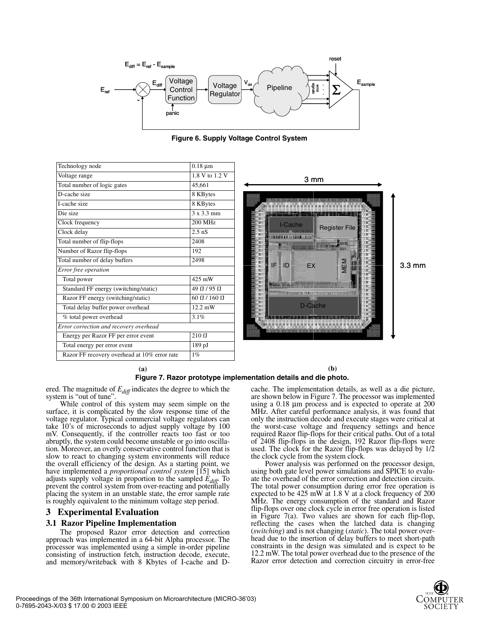

**Figure 6. Supply Voltage Control System**

| Technology node                              | $0.18 \mu m$   |  |  |  |
|----------------------------------------------|----------------|--|--|--|
| Voltage range                                | 1.8 V to 1.2 V |  |  |  |
| Total number of logic gates                  | 45,661         |  |  |  |
| D-cache size                                 | 8 KBytes       |  |  |  |
| I-cache size                                 | 8 KBytes       |  |  |  |
| Die size                                     | 3 x 3.3 mm     |  |  |  |
| Clock frequency                              | <b>200 MHz</b> |  |  |  |
| Clock delay                                  | $2.5$ nS       |  |  |  |
| Total number of flip-flops                   | 2408           |  |  |  |
| Number of Razor flip-flops                   | 192            |  |  |  |
| Total number of delay buffers                | 2498           |  |  |  |
| Error free operation                         |                |  |  |  |
| Total power                                  | 425 mW         |  |  |  |
| Standard FF energy (switching/static)        | 49 fJ / 95 fJ  |  |  |  |
| Razor FF energy (switching/static)           | 60 fJ / 160 fJ |  |  |  |
| Total delay buffer power overhead            | 12.2 mW        |  |  |  |
| % total power overhead                       | 3.1%           |  |  |  |
| Error correction and recovery overhead       |                |  |  |  |
| Energy per Razor FF per error event          | 210fJ          |  |  |  |
| Total energy per error event                 | 189 pJ         |  |  |  |
| Razor FF recovery overhead at 10% error rate | 1%             |  |  |  |



**Figure 7. Razor prototype implementation details and die photo. (a) (b)**

ered. The magnitude of  $E_{diff}$  indicates the degree to which the system is "out of tune".

While control of this system may seem simple on the surface, it is complicated by the slow response time of the voltage regulator. Typical commercial voltage regulators can take 10's of microseconds to adjust supply voltage by 100 mV. Consequently, if the controller reacts too fast or too abruptly, the system could become unstable or go into oscillation. Moreover, an overly conservative control function that is slow to react to changing system environments will reduce the overall efficiency of the design. As a starting point, we have implemented a *proportional control system* [15] which adjusts supply voltage in proportion to the sampled  $\bar{E}_{diff}$ . To prevent the control system from over-reacting and potentially placing the system in an unstable state, the error sample rate is roughly equivalent to the minimum voltage step period.

# **3 Experimental Evaluation**

# **3.1 Razor Pipeline Implementation**

The proposed Razor error detection and correction approach was implemented in a 64-bit Alpha processor. The processor was implemented using a simple in-order pipeline consisting of instruction fetch, instruction decode, execute, and memory/writeback with 8 Kbytes of I-cache and D-

cache. The implementation details, as well as a die picture, are shown below in Figure 7. The processor was implemented using a 0.18 µm process and is expected to operate at 200 MHz. After careful performance analysis, it was found that only the instruction decode and execute stages were critical at the worst-case voltage and frequency settings and hence required Razor flip-flops for their critical paths. Out of a total of 2408 flip-flops in the design, 192 Razor flip-flops were used. The clock for the Razor flip-flops was delayed by 1/2 the clock cycle from the system clock.

Power analysis was performed on the processor design, using both gate level power simulations and SPICE to evaluate the overhead of the error correction and detection circuits. The total power consumption during error free operation is expected to be 425 mW at 1.8 V at a clock frequency of 200 MHz. The energy consumption of the standard and Razor flip-flops over one clock cycle in error free operation is listed in Figure 7(a). Two values are shown for each flip-flop, reflecting the cases when the latched data is changing (*switching*) and is not changing (*static*). The total power overhead due to the insertion of delay buffers to meet short-path constraints in the design was simulated and is expect to be 12.2 mW. The total power overhead due to the presence of the Razor error detection and correction circuitry in error-free

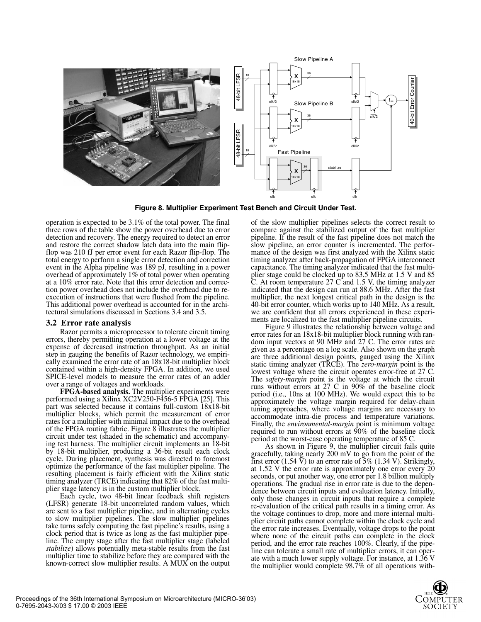

operation is expected to be 3.1% of the total power. The final three rows of the table show the power overhead due to error detection and recovery. The energy required to detect an error and restore the correct shadow latch data into the main flipflop was 210 fJ per error event for each Razor flip-flop. The total energy to perform a single error detection and correction event in the Alpha pipeline was 189 pJ, resulting in a power overhead of approximately 1% of total power when operating at a 10% error rate. Note that this error detection and correction power overhead does not include the overhead due to reexecution of instructions that were flushed from the pipeline. This additional power overhead is accounted for in the architectural simulations discussed in Sections 3.4 and 3.5.

### **3.2 Error rate analysis**

Razor permits a microprocessor to tolerate circuit timing errors, thereby permitting operation at a lower voltage at the expense of decreased instruction throughput. As an initial step in gauging the benefits of Razor technology, we empirically examined the error rate of an 18x18-bit multiplier block contained within a high-density FPGA. In addition, we used SPICE-level models to measure the error rates of an adder over a range of voltages and workloads.

**FPGA-based analysis.** The multiplier experiments were performed using a Xilinx XC2V250-F456-5 FPGA [25]. This part was selected because it contains full-custom 18x18-bit multiplier blocks, which permit the measurement of error rates for a multiplier with minimal impact due to the overhead of the FPGA routing fabric. Figure 8 illustrates the multiplier circuit under test (shaded in the schematic) and accompanying test harness. The multiplier circuit implements an 18-bit by 18-bit multiplier, producing a 36-bit result each clock cycle. During placement, synthesis was directed to foremost optimize the performance of the fast multiplier pipeline. The resulting placement is fairly efficient with the Xilinx static timing analyzer (TRCE) indicating that 82% of the fast multiplier stage latency is in the custom multiplier block.

Each cycle, two 48-bit linear feedback shift registers (LFSR) generate 18-bit uncorrelated random values, which are sent to a fast multiplier pipeline, and in alternating cycles to slow multiplier pipelines. The slow multiplier pipelines take turns safely computing the fast pipeline's results, using a clock period that is twice as long as the fast multiplier pipeline. The empty stage after the fast multiplier stage (labeled *stabilize*) allows potentially meta-stable results from the fast multiplier time to stabilize before they are compared with the known-correct slow multiplier results. A MUX on the output

of the slow multiplier pipelines selects the correct result to compare against the stabilized output of the fast multiplier pipeline. If the result of the fast pipeline does not match the slow pipeline, an error counter is incremented. The performance of the design was first analyzed with the Xilinx static timing analyzer after back-propagation of FPGA interconnect capacitance. The timing analyzer indicated that the fast multiplier stage could be clocked up to 83.5 MHz at 1.5 V and 85 C. At room temperature 27 C and 1.5 V, the timing analyzer indicated that the design can run at 88.6 MHz. After the fast multiplier, the next longest critical path in the design is the 40-bit error counter, which works up to 140 MHz. As a result, we are confident that all errors experienced in these experiments are localized to the fast multiplier pipeline circuits.

Figure 9 illustrates the relationship between voltage and error rates for an 18x18-bit multiplier block running with random input vectors at 90 MHz and 27 C. The error rates are given as a percentage on a log scale. Also shown on the graph are three additional design points, gauged using the Xilinx static timing analyzer (TRCE). The *zero-margin* point is the lowest voltage where the circuit operates error-free at 27 C. The *safety-margin* point is the voltage at which the circuit runs without errors at 27 C in 90% of the baseline clock period (i.e., 10ns at 100 MHz). We would expect this to be approximately the voltage margin required for delay-chain tuning approaches, where voltage margins are necessary to accommodate intra-die process and temperature variations. Finally, the *environmental-margin* point is minimum voltage required to run without errors at 90% of the baseline clock period at the worst-case operating temperature of 85 C.

As shown in Figure 9, the multiplier circuit fails quite gracefully, taking nearly 200 mV to go from the point of the first error (1.54 V) to an error rate of 5% (1.34 V). Strikingly, at 1.52 V the error rate is approximately one error every 20 seconds, or put another way, one error per 1.8 billion multiply operations. The gradual rise in error rate is due to the dependence between circuit inputs and evaluation latency. Initially, only those changes in circuit inputs that require a complete re-evaluation of the critical path results in a timing error. As the voltage continues to drop, more and more internal multiplier circuit paths cannot complete within the clock cycle and the error rate increases. Eventually, voltage drops to the point where none of the circuit paths can complete in the clock period, and the error rate reaches 100%. Clearly, if the pipeline can tolerate a small rate of multiplier errors, it can operate with a much lower supply voltage. For instance, at 1.36 V the multiplier would complete 98.7% of all operations with-

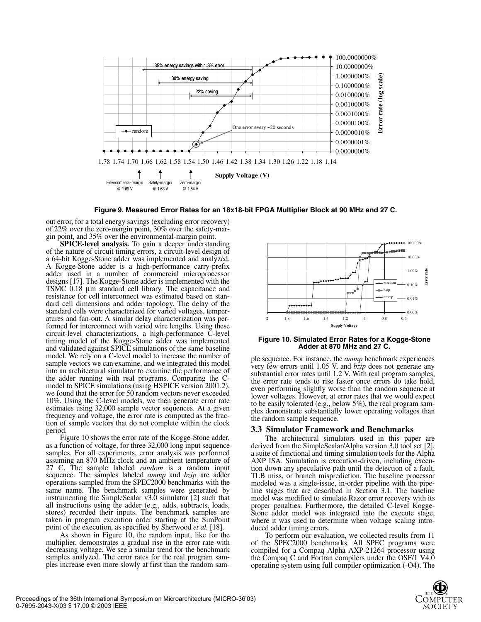

**Figure 9. Measured Error Rates for an 18x18-bit FPGA Multiplier Block at 90 MHz and 27 C.**

out error, for a total energy savings (excluding error recovery) of 22% over the zero-margin point, 30% over the safety-margin point, and 35% over the environmental-margin point.

**SPICE-level analysis.** To gain a deeper understanding of the nature of circuit timing errors, a circuit-level design of a 64-bit Kogge-Stone adder was implemented and analyzed. A Kogge-Stone adder is a high-performance carry-prefix adder used in a number of commercial microprocessor designs [17]. The Kogge-Stone adder is implemented with the TSMC 0.18 µm standard cell library. The capacitance and resistance for cell interconnect was estimated based on standard cell dimensions and adder topology. The delay of the standard cells were characterized for varied voltages, temperatures and fan-out. A similar delay characterization was performed for interconnect with varied wire lengths. Using these circuit-level characterizations, a high-performance C-level timing model of the Kogge-Stone adder was implemented and validated against SPICE simulations of the same baseline model. We rely on a C-level model to increase the number of sample vectors we can examine, and we integrated this model into an architectural simulator to examine the performance of the adder running with real programs. Comparing the Cmodel to SPICE simulations (using HSPICE version 2001.2), we found that the error for 50 random vectors never exceeded 10%. Using the C-level models, we then generate error rate estimates using 32,000 sample vector sequences. At a given frequency and voltage, the error rate is computed as the fraction of sample vectors that do not complete within the clock period.

Figure 10 shows the error rate of the Kogge-Stone adder, as a function of voltage, for three 32,000 long input sequence samples. For all experiments, error analysis was performed assuming an 870 MHz clock and an ambient temperature of 27 C. The sample labeled *random* is a random input sequence. The samples labeled *ammp* and *bzip* are adder operations sampled from the SPEC2000 benchmarks with the same name. The benchmark samples were generated by instrumenting the SimpleScalar v3.0 simulator [2] such that all instructions using the adder (e.g., adds, subtracts, loads, stores) recorded their inputs. The benchmark samples are taken in program execution order starting at the SimPoint point of the execution, as specified by Sherwood *et al.* [18].

As shown in Figure 10, the random input, like for the multiplier, demonstrates a gradual rise in the error rate with decreasing voltage. We see a similar trend for the benchmark samples analyzed. The error rates for the real program samples increase even more slowly at first than the random sam-



**Figure 10. Simulated Error Rates for a Kogge-Stone Adder at 870 MHz and 27 C.**

ple sequence. For instance, the *ammp* benchmark experiences very few errors until 1.05 V, and *bzip* does not generate any substantial error rates until 1.2 V. With real program samples, the error rate tends to rise faster once errors do take hold, even performing slightly worse than the random sequence at lower voltages. However, at error rates that we would expect to be easily tolerated (e.g., below 5%), the real program samples demonstrate substantially lower operating voltages than the random sample sequence.

## **3.3 Simulator Framework and Benchmarks**

The architectural simulators used in this paper are derived from the SimpleScalar/Alpha version 3.0 tool set [2], a suite of functional and timing simulation tools for the Alpha AXP ISA. Simulation is execution-driven, including execution down any speculative path until the detection of a fault, TLB miss, or branch misprediction. The baseline processor modeled was a single-issue, in-order pipeline with the pipeline stages that are described in Section 3.1. The baseline model was modified to simulate Razor error recovery with its proper penalties. Furthermore, the detailed C-level Kogge-Stone adder model was integrated into the execute stage, where it was used to determine when voltage scaling introduced adder timing errors.

To perform our evaluation, we collected results from 11 of the SPEC2000 benchmarks. All SPEC programs were compiled for a Compaq Alpha AXP-21264 processor using the Compaq C and Fortran compilers under the OSF/1 V4.0 operating system using full compiler optimization (-O4). The

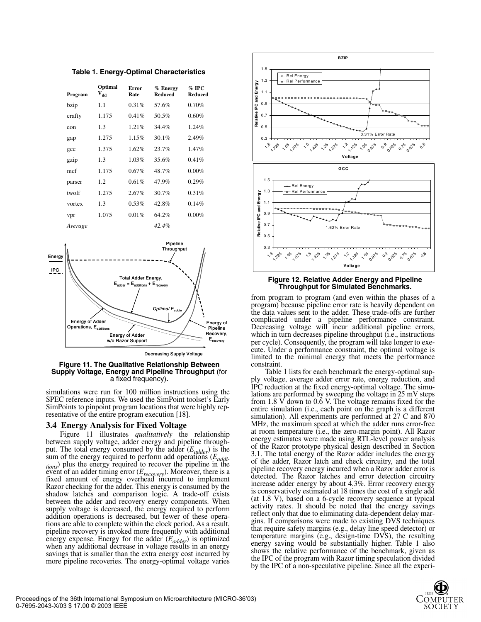|  | Table 1. Energy-Optimal Characteristics |  |
|--|-----------------------------------------|--|
|--|-----------------------------------------|--|

| Program | Optimal<br>Vaa | Error<br>Rate | % Energy<br><b>Reduced</b> | $\%$ IPC<br>Reduced |
|---------|----------------|---------------|----------------------------|---------------------|
| bzip    | 1.1            | $0.31\%$      | 57.6%                      | 0.70%               |
| crafty  | 1.175          | 0.41%         | 50.5%                      | $0.60\%$            |
| eon     | 1.3            | 1.21%         | 34.4%                      | 1.24%               |
| gap     | 1.275          | 1.15%         | 30.1%                      | 2.49%               |
| gcc     | 1.375          | 1.62%         | 23.7%                      | 1.47%               |
| gzip    | 1.3            | 1.03%         | 35.6%                      | 0.41%               |
| mcf     | 1.175          | $0.67\%$      | 48.7%                      | $0.00\%$            |
| parser  | 1.2            | 0.61%         | 47.9%                      | 0.29%               |
| twolf   | 1.275          | 2.67%         | 30.7%                      | 0.31%               |
| vortex  | 1.3            | 0.53%         | 42.8%                      | 0.14%               |
| vpr     | 1.075          | 0.01%         | 64.2%                      | $0.00\%$            |
| Average |                |               | 42.4%                      |                     |



**Figure 11. The Qualitative Relationship Between Supply Voltage, Energy and Pipeline Throughput** (for a fixed frequency)**.**

simulations were run for 100 million instructions using the SPEC reference inputs. We used the SimPoint toolset's Early SimPoints to pinpoint program locations that were highly representative of the entire program execution [18].

### **3.4 Energy Analysis for Fixed Voltage**

Figure 11 illustrates *qualitatively* the relationship between supply voltage, adder energy and pipeline throughput. The total energy consumed by the adder (*Eadder*) is the sum of the energy required to perform add operations ( $E_{addi}$ *tions*) plus the energy required to recover the pipeline in the event of an adder timing error  $(E_{recovery})$ . Moreover, there is a fixed amount of energy overhead incurred to implement Razor checking for the adder. This energy is consumed by the shadow latches and comparison logic. A trade-off exists between the adder and recovery energy components. When supply voltage is decreased, the energy required to perform addition operations is decreased, but fewer of these operations are able to complete within the clock period. As a result, pipeline recovery is invoked more frequently with additional energy expense. Energy for the adder  $(E_{adder})$  is optimized when any additional decrease in voltage results in an energy savings that is smaller than the extra energy cost incurred by more pipeline recoveries. The energy-optimal voltage varies



**Throughput for Simulated Benchmarks.**

from program to program (and even within the phases of a program) because pipeline error rate is heavily dependent on the data values sent to the adder. These trade-offs are further complicated under a pipeline performance constraint. Decreasing voltage will incur additional pipeline errors, which in turn decreases pipeline throughput (i.e., instructions per cycle). Consequently, the program will take longer to execute. Under a performance constraint, the optimal voltage is limited to the minimal energy that meets the performance constraint.

Table 1 lists for each benchmark the energy-optimal supply voltage, average adder error rate, energy reduction, and IPC reduction at the fixed energy-optimal voltage. The simulations are performed by sweeping the voltage in 25 mV steps from 1.8 V down to 0.6 V. The voltage remains fixed for the entire simulation (i.e., each point on the graph is a different simulation). All experiments are performed at 27 C and 870 MHz, the maximum speed at which the adder runs error-free at room temperature (i.e., the zero-margin point). All Razor energy estimates were made using RTL-level power analysis of the Razor prototype physical design described in Section 3.1. The total energy of the Razor adder includes the energy of the adder, Razor latch and check circuitry, and the total pipeline recovery energy incurred when a Razor adder error is detected. The Razor latches and error detection circuitry increase adder energy by about 4.3%. Error recovery energy is conservatively estimated at 18 times the cost of a single add (at 1.8 V), based on a 6-cycle recovery sequence at typical activity rates. It should be noted that the energy savings reflect only that due to eliminating data-dependent delay margins. If comparisons were made to existing DVS techniques that require safety margins (e.g., delay line speed detector) or temperature margins (e.g., design-time DVS), the resulting energy saving would be substantially higher. Table 1 also shows the relative performance of the benchmark, given as the IPC of the program with Razor timing speculation divided by the IPC of a non-speculative pipeline. Since all the experi-

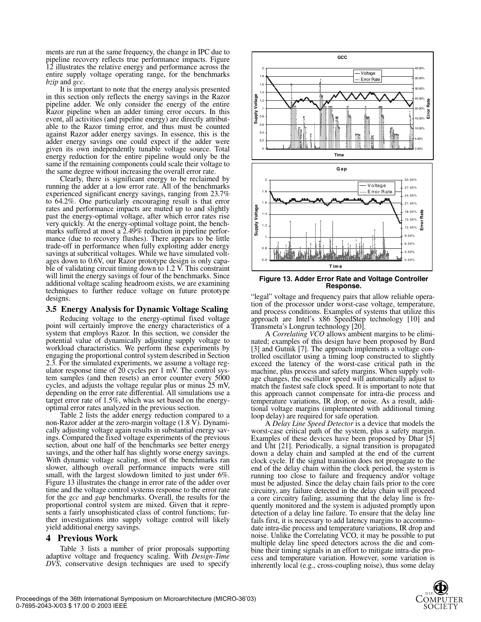ments are run at the same frequency, the change in IPC due to pipeline recovery reflects true performance impacts. Figure 12 illustrates the relative energy and performance across the entire supply voltage operating range, for the benchmarks

*bzip* and *gcc*. It is important to note that the energy analysis presented in this section only reflects the energy savings in the Razor pipeline adder. We only consider the energy of the entire Razor pipeline when an adder timing error occurs. In this event, all activities (and pipeline energy) are directly attributable to the Razor timing error, and thus must be counted against Razor adder energy savings. In essence, this is the adder energy savings one could expect if the adder were given its own independently tunable voltage source. Total energy reduction for the entire pipeline would only be the same if the remaining components could scale their voltage to the same degree without increasing the overall error rate.

Clearly, there is significant energy to be reclaimed by running the adder at a low error rate. All of the benchmarks experienced significant energy savings, ranging from 23.7% to 64.2%. One particularly encouraging result is that error rates and performance impacts are muted up to and slightly past the energy-optimal voltage, after which error rates rise very quickly. At the energy-optimal voltage point, the benchmarks suffered at most a 2.49% reduction in pipeline performance (due to recovery flushes). There appears to be little trade-off in performance when fully exploiting adder energy savings at subcritical voltages. While we have simulated voltages down to 0.6V, our Razor prototype design is only capable of validating circuit timing down to 1.2 V. This constraint will limit the energy savings of four of the benchmarks. Since additional voltage scaling headroom exists, we are examining techniques to further reduce voltage on future prototype designs.

### **3.5 Energy Analysis for Dynamic Voltage Scaling**

Reducing voltage to the energy-optimal fixed voltage point will certainly improve the energy characteristics of a system that employs Razor. In this section, we consider the potential value of dynamically adjusting supply voltage to workload characteristics. We perform these experiments by engaging the proportional control system described in Section 2.3. For the simulated experiments, we assume a voltage regulator response time of 20 cycles per 1 mV. The control system samples (and then resets) an error counter every 5000 cycles, and adjusts the voltage regular plus or minus 25 mV, depending on the error rate differential. All simulations use a target error rate of 1.5%, which was set based on the energyoptimal error rates analyzed in the previous section.

Table 2 lists the adder energy reduction compared to a non-Razor adder at the zero-margin voltage (1.8 V). Dynamically adjusting voltage again results in substantial energy savings. Compared the fixed voltage experiments of the previous section, about one half of the benchmarks see better energy savings, and the other half has slightly worse energy savings. With dynamic voltage scaling, most of the benchmarks ran slower, although overall performance impacts were still small, with the largest slowdown limited to just under 6%. Figure 13 illustrates the change in error rate of the adder over time and the voltage control systems response to the error rate for the *gcc* and *gap* benchmarks. Overall, the results for the proportional control system are mixed. Given that it represents a fairly unsophisticated class of control functions; further investigations into supply voltage control will likely yield additional energy savings.

# **4 Previous Work**

Table 3 lists a number of prior proposals supporting adaptive voltage and frequency scaling. With *Design-Time DVS*, conservative design techniques are used to specify



**Figure 13. Adder Error Rate and Voltage Controller Response.**

"legal" voltage and frequency pairs that allow reliable operation of the processor under worst-case voltage, temperature, and process conditions. Examples of systems that utilize this approach are Intel's x86 SpeedStep technology [10] and Transmeta's Longrun technology [20].

A *Correlating VCO* allows ambient margins to be eliminated; examples of this design have been proposed by Burd [3] and Gutnik [7]. The approach implements a voltage controlled oscillator using a timing loop constructed to slightly exceed the latency of the worst-case critical path in the machine, plus process and safety margins. When supply voltage changes, the oscillator speed will automatically adjust to match the fastest safe clock speed. It is important to note that this approach cannot compensate for intra-die process and temperature variations, IR drop, or noise. As a result, additional voltage margins (implemented with additional timing loop delay) are required for safe operation.

A *Delay Line Speed Detector* is a device that models the worst-case critical path of the system, plus a safety margin. Examples of these devices have been proposed by Dhar [5] and Uht [21]. Periodically, a signal transition is propagated down a delay chain and sampled at the end of the current clock cycle. If the signal transition does not propagate to the end of the delay chain within the clock period, the system is running too close to failure and frequency and/or voltage must be adjusted. Since the delay chain fails prior to the core circuitry, any failure detected in the delay chain will proceed a core circuitry failing, assuming that the delay line is frequently monitored and the system is adjusted promptly upon detection of a delay line failure. To ensure that the delay line fails first, it is necessary to add latency margins to accommodate intra-die process and temperature variations, IR drop and noise. Unlike the Correlating VCO, it may be possible to put multiple delay line speed detectors across the die and combine their timing signals in an effort to mitigate intra-die process and temperature variation. However, some variation is inherently local (e.g., cross-coupling noise), thus some delay

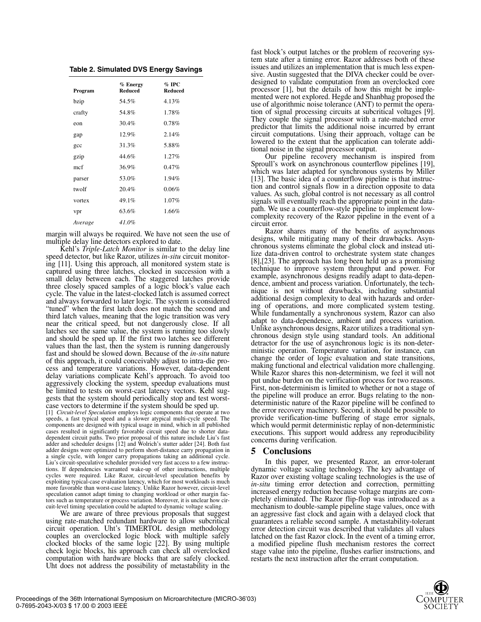**Table 2. Simulated DVS Energy Savings**

| Program | % Energy<br><b>Reduced</b> | $%$ IPC<br><b>Reduced</b> |
|---------|----------------------------|---------------------------|
| bzip    | 54.5%                      | 4.13%                     |
| crafty  | 54.8%                      | 1.78%                     |
| eon     | 30.4%                      | 0.78%                     |
| gap     | 12.9%                      | 2.14%                     |
| gcc     | 31.3%                      | 5.88%                     |
| gzip    | 44.6%                      | $1.27\%$                  |
| mcf     | 36.9%                      | 0.47%                     |
| parser  | 53.0%                      | 1.94%                     |
| twolf   | 20.4%                      | 0.06%                     |
| vortex  | 49.1%                      | $1.07\%$                  |
| vpr     | 63.6%                      | 1.66%                     |
| Average | 41.0%                      |                           |

margin will always be required. We have not seen the use of multiple delay line detectors explored to date.

Kehl's *Triple-Latch Monitor* is similar to the delay line speed detector, but like Razor, utilizes *in-situ* circuit monitoring [11]. Using this approach, all monitored system state is captured using three latches, clocked in succession with a small delay between each. The staggered latches provide three closely spaced samples of a logic block's value each cycle. The value in the latest-clocked latch is assumed correct and always forwarded to later logic. The system is considered "tuned" when the first latch does not match the second and third latch values, meaning that the logic transition was very near the critical speed, but not dangerously close. If all latches see the same value, the system is running too slowly and should be sped up. If the first two latches see different values than the last, then the system is running dangerously fast and should be slowed down. Because of the *in-situ* nature of this approach, it could conceivably adjust to intra-die process and temperature variations. However, data-dependent delay variations complicate Kehl's approach. To avoid too aggressively clocking the system, speedup evaluations must be limited to tests on worst-cast latency vectors. Kehl suggests that the system should periodically stop and test worstcase vectors to determine if the system should be sped up.

[1] *Circuit-level Speculation* employs logic components that operate at two speeds, a fast typical speed and a slower atypical multi-cycle speed. The components are designed with typical usage in mind, which in all published cases resulted in significantly favorable circuit speed due to shorter datadependent circuit paths. Two prior proposal of this nature include Liu's fast adder and scheduler designs [12] and Wolrich's stutter adder [24]. Both fast adder designs were optimized to perform short-distance carry propagation in a single cycle, with longer carry propagations taking an additional cycle. Liu's circuit-speculative scheduler provided very fast access to a few instructions. If dependencies warranted wake-up of other instructions, multiple cycles were required. Like Razor, circuit-level speculation benefits by exploiting typical-case evaluation latency, which for most workloads is much more favorable than worst-case latency. Unlike Razor however, circuit-level speculation cannot adapt timing to changing workload or other margin fac-tors such as temperature or process variation. Moreover, it is unclear how circuit-level timing speculation could be adapted to dynamic voltage scaling.

We are aware of three previous proposals that suggest using rate-matched redundant hardware to allow subcritical circuit operation. Uht's TIMERTOL design methodology couples an overclocked logic block with multiple safely clocked blocks of the same logic [22]. By using multiple check logic blocks, his approach can check all overclocked computation with hardware blocks that are safely clocked. Uht does not address the possibility of metastability in the

fast block's output latches or the problem of recovering system state after a timing error. Razor addresses both of these issues and utilizes an implementation that is much less expensive. Austin suggested that the DIVA checker could be overdesigned to validate computation from an overclocked core processor [1], but the details of how this might be implemented were not explored. Hegde and Shanbhag proposed the use of algorithmic noise tolerance (ANT) to permit the operation of signal processing circuits at subcritical voltages [9]. They couple the signal processor with a rate-matched error predictor that limits the additional noise incurred by errant circuit computations. Using their approach, voltage can be lowered to the extent that the application can tolerate additional noise in the signal processor output.

Our pipeline recovery mechanism is inspired from Sproull's work on asynchronous counterflow pipelines [19], which was later adapted for synchronous systems by Miller [13]. The basic idea of a counterflow pipeline is that instruction and control signals flow in a direction opposite to data values. As such, global control is not necessary as all control signals will eventually reach the appropriate point in the datapath. We use a counterflow-style pipeline to implement lowcomplexity recovery of the Razor pipeline in the event of a circuit error.

Razor shares many of the benefits of asynchronous designs, while mitigating many of their drawbacks. Asynchronous systems eliminate the global clock and instead utilize data-driven control to orchestrate system state changes [8],[23]. The approach has long been held up as a promising technique to improve system throughput and power. For example, asynchronous designs readily adapt to data-dependence, ambient and process variation. Unfortunately, the technique is not without drawbacks, including substantial additional design complexity to deal with hazards and ordering of operations, and more complicated system testing. While fundamentally a synchronous system, Razor can also adapt to data-dependence, ambient and process variation. Unlike asynchronous designs, Razor utilizes a traditional synchronous design style using standard tools. An additional detractor for the use of asynchronous logic is its non-deterministic operation. Temperature variation, for instance, can change the order of logic evaluation and state transitions, making functional and electrical validation more challenging. While Razor shares this non-determinism, we feel it will not put undue burden on the verification process for two reasons. First, non-determinism is limited to whether or not a stage of the pipeline will produce an error. Bugs relating to the nondeterministic nature of the Razor pipeline will be confined to the error recovery machinery. Second, it should be possible to provide verification-time buffering of stage error signals, which would permit deterministic replay of non-deterministic executions. This support would address any reproducibility concerns during verification.

# **5 Conclusions**

In this paper, we presented Razor, an error-tolerant dynamic voltage scaling technology. The key advantage of Razor over existing voltage scaling technologies is the use of *in-situ* timing error detection and correction, permitting increased energy reduction because voltage margins are completely eliminated. The Razor flip-flop was introduced as a mechanism to double-sample pipeline stage values, once with an aggressive fast clock and again with a delayed clock that guarantees a reliable second sample. A metastability-tolerant error detection circuit was described that validates all values latched on the fast Razor clock. In the event of a timing error, a modified pipeline flush mechanism restores the correct stage value into the pipeline, flushes earlier instructions, and restarts the next instruction after the errant computation.